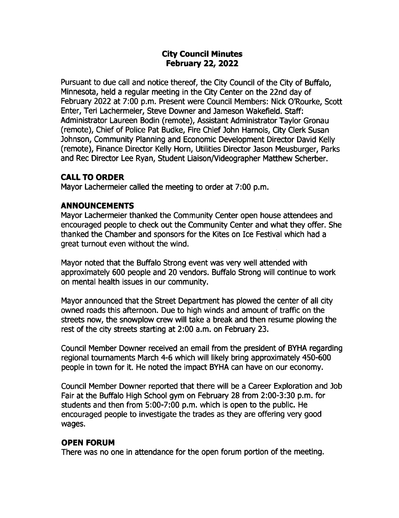### City Council Minutes February 22, 2022

Pursuant to due call and notice thereof, the City Council of the City of Buffalo, Minnesota, held a regular meeting in the City Center on the 22nd day of February 2022 at 7:00 p.m. Present were Council Members: Nick O'Rourke, Scott Enter, Teri Lachermeier, Steve Downer and Jameson Wakefield. Staff: Administrator Laureen Bodin ( remote), Assistant Administrator Taylor Gronau remote), Chief of Police Pat Budke, Fire Chief) ohn Harnois, City Clerk Susan ohnson, Community Planning and Economic Development Director David Kelly remote), Finance Director Kelly Horn, Utilities Director Jason Meusburger, Parks and Rec Director Lee Ryan, Student Liaison/Videographer Matthew Scherber.

#### CALL TO ORDER

Mayor Lachermeier called the meeting to order at 7:00 p.m.

### ANNOUNCEMENTS

Mayor Lachermeier thanked the Community Center open house attendees and encouraged people to check out the Community Center and what they offer. She thanked the Chamber and sponsors for the Kites on Ice Festival which had a great turnout even without the wind.

Mayor noted that the Buffalo Strong event was very well attended with approximately 600 people and 20 vendors. Buffalo Strong will continue to work on mental health issues in our community.

Mayor announced that the Street Department has plowed the center of all city owned roads this afternoon. Due to high winds and amount of traffic on the streets now, the snowplow crew will take a break and then resume plowing the rest of the city streets starting at 2:00 a.m. on February 23.

Council Member powner received an email from the president of BYHA regarding regional tournaments March 4-6 which will likely bring approximately 450-600 people in town for it. He noted the impact BYHA can have on our economy.

Council Member powner reported that there will be a Career Exploration and ) ob Fair at the Buffalo High School gym on February 28 from 2:00-3:30 p.m. for students and then from 5:00-7:00 p.m. which is open to the public. He encouraged people to investigate the trades as they are offering very good wages.

#### OPEN FORUM

There was no one in attendance for the open forum portion of the meeting.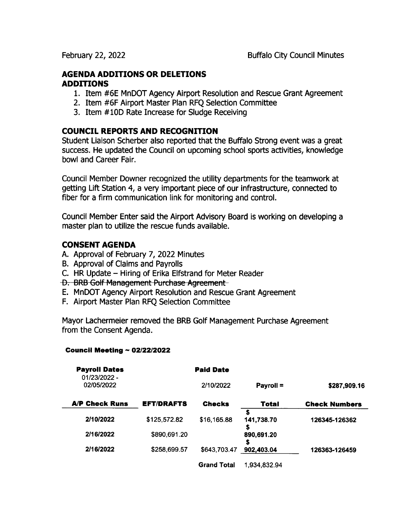### AGENDA ADDITIONS OR DELETIONS ADDITIONS

- 1. Item # 6E MnDOT Agency Airport Resolution and Rescue Grant Agreement
- 2. Item #6F Airport Master Plan RFQ Selection Committee
- 3. Item # 10D Rate Increase for Sludge Receiving

### COUNCIL REPORTS AND RECOGNITION

Student Liaison Scherber also reported that the Buffalo Strong event was a great success. He updated the Council on upcoming school sports activities, knowledge bowl and Career Fair.

Council Member Downer recognized the utility departments for the teamwork at getting Lift Station 4, a very important piece of our infrastructure, connected to fiber for a firm communication link for monitoring and control.

Council Member Enter said the Airport Advisory Board is working on developing a master plan to utilize the rescue funds available.

#### CONSENT AGENDA

- A. Approval of February 7, 2022 Minutes
- B. Approval of Claims and Payrolls
- C. HR Update Hiring of Erika Elfstrand for Meter Reader<br>D. BRB Golf Management Purchase Agreement
- 
- E. MnDOT Agency Airport Resolution and Rescue Grant Agreement
- F. Airport Master Plan RFQ Selection Committee

Mayor Lachermeier removed the BRB Golf Management Purchase Agreement from the Consent Agenda.

#### Council Meeting  $\sim 02/22/2022$

| <b>Payroll Dates</b><br>01/23/2022 - |                   | <b>Paid Date</b>   |                  |                      |
|--------------------------------------|-------------------|--------------------|------------------|----------------------|
| 02/05/2022                           |                   | 2/10/2022          | Payroll =        | \$287,909.16         |
| <b>A/P Check Runs</b>                | <b>EFT/DRAFTS</b> | <b>Checks</b>      | Total            | <b>Check Numbers</b> |
| 2/10/2022                            | \$125,572.82      | \$16,165.88        | 141,738.70       | 126345-126362        |
| 2/16/2022                            | \$890,691.20      |                    | \$<br>890,691.20 |                      |
| 2/16/2022                            | \$258,699.57      | \$643,703.47       | s<br>902,403.04  | 126363-126459        |
|                                      |                   | <b>Grand Total</b> | 1,934,832.94     |                      |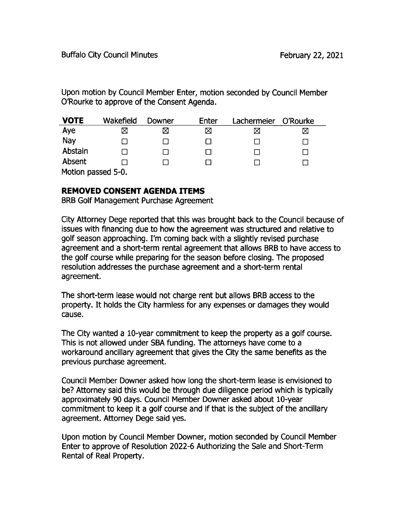Upon motion by Council Member Enter, motion seconded by Council Member 0'Rourke to approve of the Consent Agenda.

| <b>VOTE</b>        | Wakefield | Downer | Enter | Lachermeier | O'Rourke |  |
|--------------------|-----------|--------|-------|-------------|----------|--|
| Aye                | Χ         | ⊠      | ⊠     | ⊠           | ⊠        |  |
| Nay                |           |        |       |             |          |  |
| Abstain            |           |        |       |             |          |  |
| Absent             |           |        |       |             |          |  |
| Motion passed 5-0. |           |        |       |             |          |  |

# REMOVED CONSENT AGENDA ITEMS

BRB Golf Management Purchase Agreement

City Attorney Dege reported that this was brought back to the Council because of issues with financing due to how the agreement was structured and relative to golf season approaching. I'm coming back with a slightly revised purchase agreement and a short-term rental agreement that allows BRB to have access to the golf course while preparing for the season before closing. The proposed resolution addresses the purchase agreement and a short-term rental agreement.

The short-term lease would not charge rent but allows BRB access to the property. It holds the City harmless for any expenses or damages they would cause.

The City wanted a 10-year commitment to keep the property as a golf course. This is not allowed under SBA funding. The attorneys have come to a workaround ancillary agreement that gives the City the same benefits as the previous purchase agreement.

Council Member powner asked how long the short-term lease is envisioned to be? Attorney said this would be through due diligence period which is typically approximately 90 days. Council Member Downer asked about 10-year commitment to keep it a golf course and if that is the subject of the ancillary agreement. Attorney Dege said yes.

Upon motion by Council Member Downer, motion seconded by Council Member Enter to approve of Resolution 2022-6 Authorizing the Sale and Short-Term Rental of Real Property.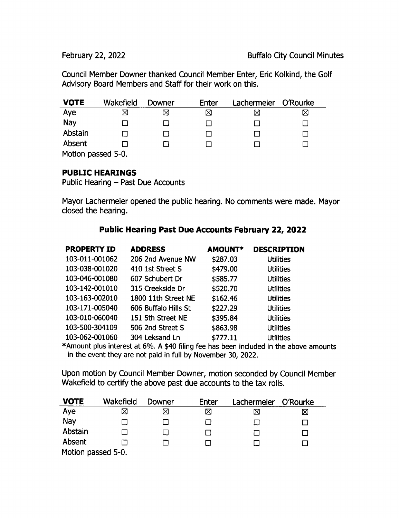Council Member Downer thanked Council Member Enter, Eric Kolkind, the Golf Advisory Board Members and Staff for their work on this.

| <b>VOTE</b>       | Wakefield | Downer | Enter | Lachermeier | O'Rourke |
|-------------------|-----------|--------|-------|-------------|----------|
| Aye               | Χ         | ⊠      | ⊠     | ⊠           | ⊠        |
| Nay               |           |        |       |             |          |
| Abstain           |           |        |       |             |          |
| Absent            |           |        |       |             |          |
| Motion paccod 5.0 |           |        |       |             |          |

Motion passed 5-0.

#### PUBLIC HEARINGS

Public Hearing — Past Due Accounts

Mayor Lachermeier opened the public hearing. No comments were made. Mayor closed the hearing.

# Public Hearing Past Due Accounts February 22, 2022

| <b>PROPERTY ID</b> | <b>ADDRESS</b>       | <b>AMOUNT*</b> | <b>DESCRIPTION</b> |
|--------------------|----------------------|----------------|--------------------|
| 103-011-001062     | 206 2nd Avenue NW    | \$287.03       | <b>Utilities</b>   |
| 103-038-001020     | 410 1st Street S     | \$479.00       | <b>Utilities</b>   |
| 103-046-001080     | 607 Schubert Dr      | \$585.77       | <b>Utilities</b>   |
| 103-142-001010     | 315 Creekside Dr     | \$520.70       | <b>Utilities</b>   |
| 103-163-002010     | 1800 11th Street NE  | \$162.46       | <b>Utilities</b>   |
| 103-171-005040     | 606 Buffalo Hills St | \$227.29       | <b>Utilities</b>   |
| 103-010-060040     | 151 5th Street NE    | \$395.84       | <b>Utilities</b>   |
| 103-500-304109     | 506 2nd Street S     | \$863.98       | <b>Utilities</b>   |
| 103-062-001060     | 304 Leksand Ln       | \$777.11       | <b>Utilities</b>   |

\*Amount plus interest at 6%. A \$40 filing fee has been included in the above amounts in the event they are not paid in full by November 30, 2022.

Upon motion by Council Member powner, motion seconded by Council Member Wakefield to certify the above past due accounts to the tax rolls.

| <b>VOTE</b>        | Wakefield   | Downer | Enter | Lachermeier | O'Rourke |  |
|--------------------|-------------|--------|-------|-------------|----------|--|
| Aye                | $\boxtimes$ | ⊠      | ⊠     | ⊠           | ⊠        |  |
| Nay                |             |        |       |             |          |  |
| Abstain            |             |        |       |             |          |  |
| Absent             |             |        |       |             |          |  |
| Motion passed 5-0. |             |        |       |             |          |  |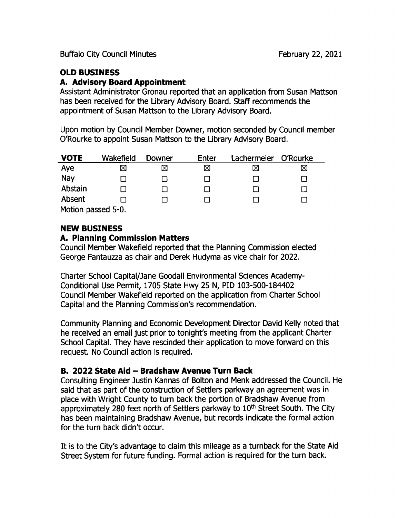Buffalo City Council Minutes **February 22, 2021** 

# OLD BUSINESS

#### A. Advisory Board Appointment

Assistant Administrator Gronau reported that an application from Susan Mattson has been received for the Library Advisory Board. Staff recommends the appointment of Susan Mattson to the Library Advisory Board.

Upon motion by Council Member Downer, motion seconded by Council member 0'Rourke to appoint Susan Mattson to the Library Advisory Board.

| <b>VOTE</b>        | Wakefield | Downer | Enter | Lachermeier O'Rourke |   |  |
|--------------------|-----------|--------|-------|----------------------|---|--|
| Aye                | ⊠         | ⊠      | ⊠     | ⊠                    | ⊠ |  |
| Nay                |           |        |       |                      |   |  |
| Abstain            |           |        |       |                      |   |  |
| Absent             |           |        |       |                      |   |  |
| Motion passed 5-0. |           |        |       |                      |   |  |

# NEW BUSINESS

#### A. Planning Commission Matters

Council Member Wakefield reported that the Planning Commission elected George Fantauzza as chair and Derek Hudyma as vice chair for 2022.

Charter School Capital/ Jane Goodall Environmental Sciences Academy-Conditional Use Permit, 1705 State Hwy 25 N, PID 103-500-184402 Council Member Wakefield reported on the application from Charter School Capital and the Planning Commission's recommendation.

Community Planning and Economic Development Director David Kelly noted that he received an email just prior to tonight's meeting from the applicant Charter School Capital. They have rescinded their application to move forward on this request. No Council action is required.

# B. 2022 State Aid — Bradshaw Avenue Turn Back

Consulting Engineer Justin Kannas of Bolton and Menk addressed the Council. He said that as part of the construction of Settlers parkway an agreement was in place with Wright County to turn back the portion of Bradshaw Avenue from approximately 280 feet north of Settlers parkway to 10<sup>th</sup> Street South. The City has been maintaining Bradshaw Avenue, but records indicate the formal action for the turn back didn't occur.

It is to the City's advantage to claim this mileage as <sup>a</sup> turnback for the State Aid Street System for future funding. Formal action is required for the turn back.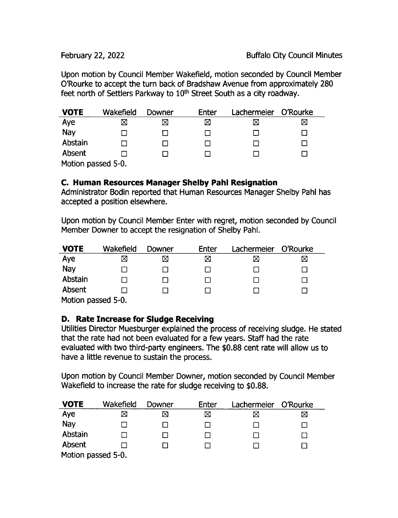Upon motion by Council Member Wakefield, motion seconded by Council Member 0'Rourke to accept the turn back of Bradshaw Avenue from approximately 280 feet north of Settlers Parkway to 10<sup>th</sup> Street South as a city roadway.

| <b>VOTE</b>        | Wakefield | Downer | Enter | Lachermeier | O'Rourke |  |
|--------------------|-----------|--------|-------|-------------|----------|--|
| Aye                | ⊠         | ⊠      | ⊠     |             | ⊠        |  |
| Nay                |           |        |       |             |          |  |
| Abstain            |           |        |       |             |          |  |
| Absent             |           |        |       |             |          |  |
| Motion passed 5-0. |           |        |       |             |          |  |

### C. Human Resources Manager Shelby Pahl Resignation

Administrator Bodin reported that Human Resources Manager Shelby Pahl has accepted a position elsewhere.

Upon motion by Council Member Enter with regret, motion seconded by Council Member Downer to accept the resignation of Shelby Pahl.

| <b>VOTE</b>        | Wakefield | Downer | Enter | Lachermeier | O'Rourke |  |
|--------------------|-----------|--------|-------|-------------|----------|--|
| Aye                | Χ         | ⊠      | ⊠     | ⊠           | ⊠        |  |
| Nay                |           |        |       |             |          |  |
| Abstain            |           |        |       |             |          |  |
| Absent             |           |        |       |             |          |  |
| Motion passed 5-0. |           |        |       |             |          |  |

# D. Rate Increase for Sludge Receiving

Utilities Director Muesburger explained the process of receiving sludge. He stated that the rate had not been evaluated for a few years. Staff had the rate evaluated with two third-party engineers. The \$0.88 cent rate will allow us to have a little revenue to sustain the process.

Upon motion by Council Member Downer, motion seconded by Council Member Wakefield to increase the rate for sludge receiving to \$0.88.

| <b>VOTE</b>        | Wakefield | Downer | Enter | Lachermeier O'Rourke |   |  |
|--------------------|-----------|--------|-------|----------------------|---|--|
| Aye                | ⊠         | ⊠      | ⊠     |                      | ⊠ |  |
| Nay                |           |        |       |                      |   |  |
| Abstain            |           |        |       |                      |   |  |
| Absent             |           |        |       |                      |   |  |
| Motion passed 5-0. |           |        |       |                      |   |  |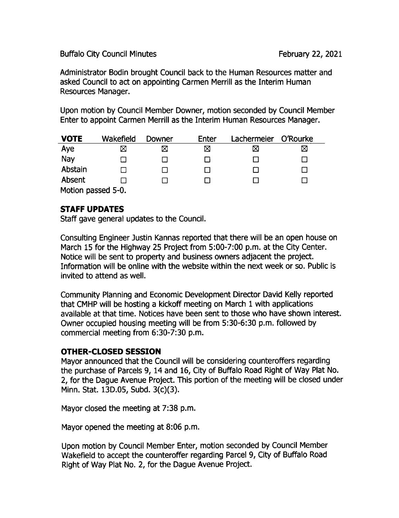#### Buffalo City Council Minutes **February 22, 2021**

Administrator Bodin brought Council back to the Human Resources matter and asked Council to act on appointing Carmen Merrill as the Interim Human Resources Manager.

Upon motion by Council Member Downer, motion seconded by Council Member Enter to appoint Carmen Merrill as the Interim Human Resources Manager.

| <b>VOTE</b>                        | Wakefield | Downer | Enter | Lachermeier | O'Rourke |
|------------------------------------|-----------|--------|-------|-------------|----------|
| Aye                                | ⊠         | X      | ⊠     | ⋈           | ⊠        |
| Nay                                |           |        |       |             |          |
| Abstain                            |           |        |       | . .         |          |
| Absent                             |           |        |       |             |          |
| $M$ atian nagaad $\Gamma$ $\Omega$ |           |        |       |             |          |

Motion passed 5-0.

### STAFF UPDATES

Staff gave general updates to the Council.

Consulting Engineer Justin Kannas reported that there will be an open house on March 15 for the Highway 25 Project from 5:00-7:00 p.m. at the City Center. Notice will be sent to property and business owners adjacent the project. Information will be online with the website within the next week or so. Public is invited to attend as well.

Community Planning and Economic Development Director David Kelly reported that CMHP will be hosting a kickoff meeting on March <sup>1</sup> with applications available at that time. Notices have been sent to those who have shown interest. Owner occupied housing meeting will be from 5:30-6:30 p.m. followed by commercial meeting from 6:30-7:30 p.m.

#### OTHER- CLOSED SESSION

Mayor announced that the Council will be considering counteroffers regarding the purchase of Parcels 9, 14 and 16, City of Buffalo Road Right of Way Plat No. 2, for the Dague Avenue Project. This portion of the meeting will be closed under Minn. Stat. 13D.05, Subd. 3(c)(3).

Mayor closed the meeting at 7:38 p.m.

Mayor opened the meeting at 8:06 p.m.

Upon motion by Council Member Enter, motion seconded by Council Member Wakefield to accept the counteroffer regarding Parcel 9, City of Buffalo Road Right of Way Plat No. 2, for the Dague Avenue Project.